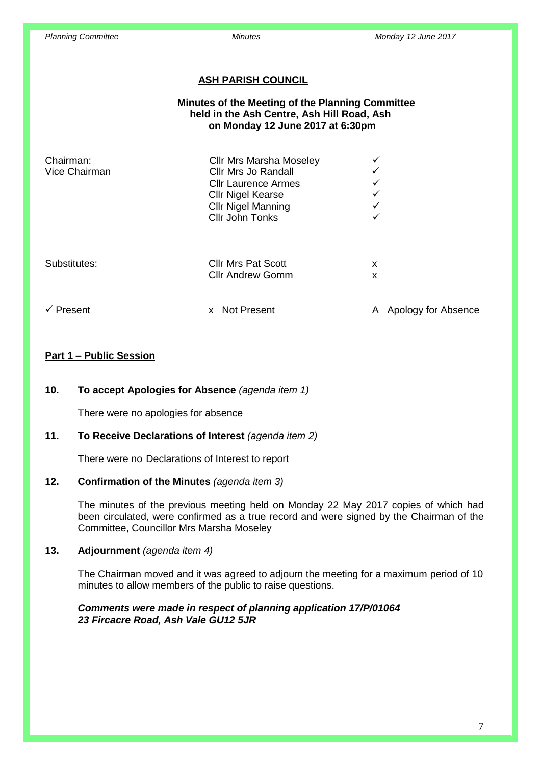#### **ASH PARISH COUNCIL**

## **Minutes of the Meeting of the Planning Committee held in the Ash Centre, Ash Hill Road, Ash on Monday 12 June 2017 at 6:30pm**

| Chairman:<br>Vice Chairman | <b>Cllr Mrs Marsha Moseley</b><br>Cllr Mrs Jo Randall<br><b>Cllr Laurence Armes</b><br><b>Cllr Nigel Kearse</b><br><b>Cllr Nigel Manning</b><br><b>Cllr John Tonks</b> | ✓<br>✓<br>✓<br>✓<br>✓<br>✓ |
|----------------------------|------------------------------------------------------------------------------------------------------------------------------------------------------------------------|----------------------------|
| Substitutes:               | <b>Cllr Mrs Pat Scott</b><br><b>Cllr Andrew Gomm</b>                                                                                                                   | X<br>X                     |
| $\checkmark$ Present       | <b>Not Present</b><br>x                                                                                                                                                | Apology for Absence<br>A   |

#### **Part 1 – Public Session**

#### **10. To accept Apologies for Absence** *(agenda item 1)*

There were no apologies for absence

### **11. To Receive Declarations of Interest** *(agenda item 2)*

There were no Declarations of Interest to report

#### **12. Confirmation of the Minutes** *(agenda item 3)*

The minutes of the previous meeting held on Monday 22 May 2017 copies of which had been circulated, were confirmed as a true record and were signed by the Chairman of the Committee, Councillor Mrs Marsha Moseley

#### **13. Adjournment** *(agenda item 4)*

The Chairman moved and it was agreed to adjourn the meeting for a maximum period of 10 minutes to allow members of the public to raise questions.

#### *Comments were made in respect of planning application 17/P/01064 23 Fircacre Road, Ash Vale GU12 5JR*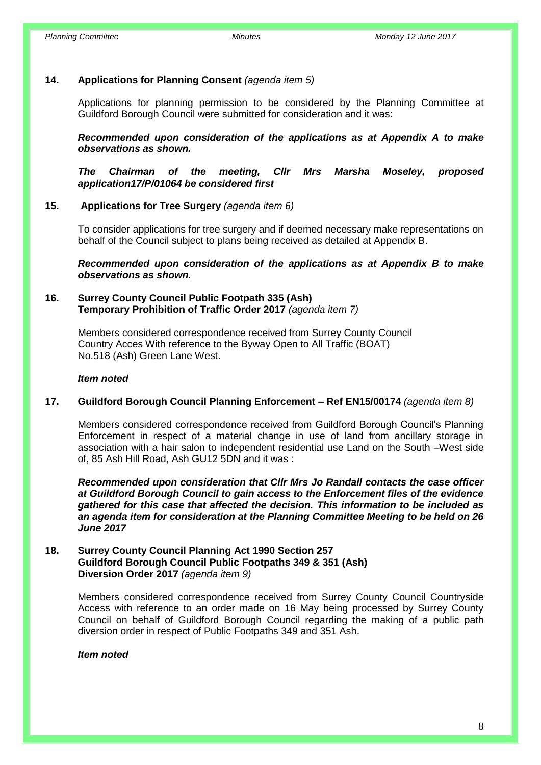## **14. Applications for Planning Consent** *(agenda item 5)*

Applications for planning permission to be considered by the Planning Committee at Guildford Borough Council were submitted for consideration and it was:

*Recommended upon consideration of the applications as at Appendix A to make observations as shown.*

*The Chairman of the meeting, Cllr Mrs Marsha Moseley, proposed application17/P/01064 be considered first*

## **15. Applications for Tree Surgery** *(agenda item 6)*

To consider applications for tree surgery and if deemed necessary make representations on behalf of the Council subject to plans being received as detailed at Appendix B.

*Recommended upon consideration of the applications as at Appendix B to make observations as shown.*

#### **16. Surrey County Council Public Footpath 335 (Ash) Temporary Prohibition of Traffic Order 2017** *(agenda item 7)*

Members considered correspondence received from Surrey County Council Country Acces With reference to the Byway Open to All Traffic (BOAT) No.518 (Ash) Green Lane West.

#### *Item noted*

#### **17. Guildford Borough Council Planning Enforcement – Ref EN15/00174** *(agenda item 8)*

Members considered correspondence received from Guildford Borough Council's Planning Enforcement in respect of a material change in use of land from ancillary storage in association with a hair salon to independent residential use Land on the South –West side of, 85 Ash Hill Road, Ash GU12 5DN and it was :

*Recommended upon consideration that Cllr Mrs Jo Randall contacts the case officer at Guildford Borough Council to gain access to the Enforcement files of the evidence gathered for this case that affected the decision. This information to be included as an agenda item for consideration at the Planning Committee Meeting to be held on 26 June 2017*

### **18. Surrey County Council Planning Act 1990 Section 257 Guildford Borough Council Public Footpaths 349 & 351 (Ash) Diversion Order 2017** *(agenda item 9)*

Members considered correspondence received from Surrey County Council Countryside Access with reference to an order made on 16 May being processed by Surrey County Council on behalf of Guildford Borough Council regarding the making of a public path diversion order in respect of Public Footpaths 349 and 351 Ash.

#### *Item noted*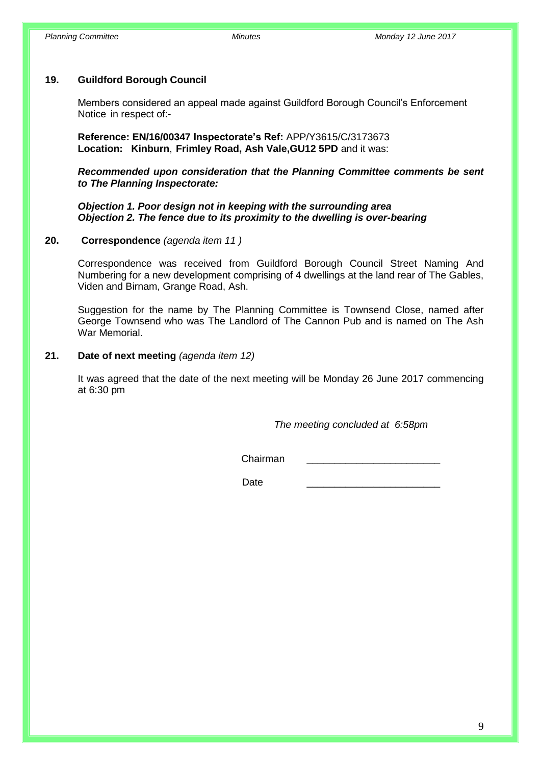#### **19. Guildford Borough Council**

Members considered an appeal made against Guildford Borough Council's Enforcement Notice in respect of:-

 **Reference: EN/16/00347 Inspectorate's Ref:** APP/Y3615/C/3173673 **Location: Kinburn**, **Frimley Road, Ash Vale,GU12 5PD** and it was:

*Recommended upon consideration that the Planning Committee comments be sent to The Planning Inspectorate:* 

*Objection 1. Poor design not in keeping with the surrounding area Objection 2. The fence due to its proximity to the dwelling is over-bearing* 

#### **20. Correspondence** *(agenda item 11 )*

Correspondence was received from Guildford Borough Council Street Naming And Numbering for a new development comprising of 4 dwellings at the land rear of The Gables, Viden and Birnam, Grange Road, Ash.

Suggestion for the name by The Planning Committee is Townsend Close, named after George Townsend who was The Landlord of The Cannon Pub and is named on The Ash War Memorial.

#### **21. Date of next meeting** *(agenda item 12)*

It was agreed that the date of the next meeting will be Monday 26 June 2017 commencing at 6:30 pm

*The meeting concluded at 6:58pm*

Chairman \_\_\_\_\_\_\_\_\_\_\_\_\_\_\_\_\_\_\_\_\_\_\_\_

Date \_\_\_\_\_\_\_\_\_\_\_\_\_\_\_\_\_\_\_\_\_\_\_\_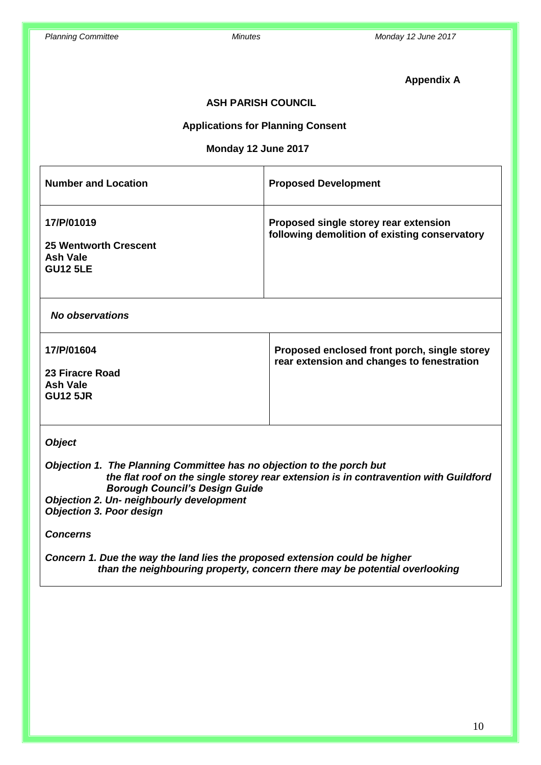## **Appendix A**

## **ASH PARISH COUNCIL**

### **Applications for Planning Consent**

### **Monday 12 June 2017**

| <b>Number and Location</b>                                                       | <b>Proposed Development</b>                                                            |
|----------------------------------------------------------------------------------|----------------------------------------------------------------------------------------|
| 17/P/01019<br><b>25 Wentworth Crescent</b><br><b>Ash Vale</b><br><b>GU12 5LE</b> | Proposed single storey rear extension<br>following demolition of existing conservatory |
| No observations                                                                  |                                                                                        |

| 17/P/01604                                     | Proposed enclosed front porch, single storey<br>rear extension and changes to fenestration |
|------------------------------------------------|--------------------------------------------------------------------------------------------|
| 23 Firacre Road<br>Ash Vale<br><b>GU12 5JR</b> |                                                                                            |

## *Object*

*Objection 1. The Planning Committee has no objection to the porch but the flat roof on the single storey rear extension is in contravention with Guildford Borough Council's Design Guide Objection 2. Un- neighbourly development Objection 3. Poor design*

#### *Concerns*

*Concern 1. Due the way the land lies the proposed extension could be higher than the neighbouring property, concern there may be potential overlooking*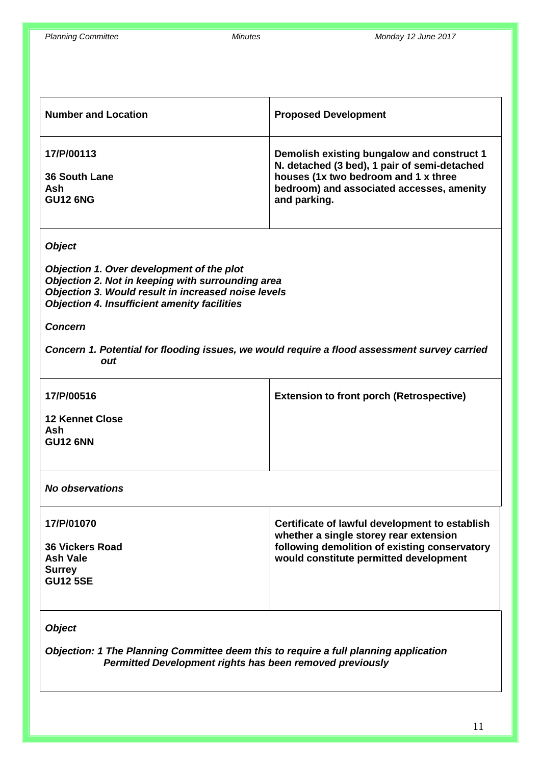| <b>Number and Location</b>                                                                                                                                                                                                    | <b>Proposed Development</b>                                                                                                                                                                     |  |
|-------------------------------------------------------------------------------------------------------------------------------------------------------------------------------------------------------------------------------|-------------------------------------------------------------------------------------------------------------------------------------------------------------------------------------------------|--|
| 17/P/00113<br><b>36 South Lane</b><br><b>Ash</b><br><b>GU12 6NG</b>                                                                                                                                                           | Demolish existing bungalow and construct 1<br>N. detached (3 bed), 1 pair of semi-detached<br>houses (1x two bedroom and 1 x three<br>bedroom) and associated accesses, amenity<br>and parking. |  |
| <b>Object</b><br>Objection 1. Over development of the plot<br>Objection 2. Not in keeping with surrounding area<br>Objection 3. Would result in increased noise levels<br><b>Objection 4. Insufficient amenity facilities</b> |                                                                                                                                                                                                 |  |
| <b>Concern</b><br>Concern 1. Potential for flooding issues, we would require a flood assessment survey carried<br>out                                                                                                         |                                                                                                                                                                                                 |  |
| 17/P/00516<br><b>12 Kennet Close</b><br><b>Ash</b><br><b>GU12 6NN</b>                                                                                                                                                         | <b>Extension to front porch (Retrospective)</b>                                                                                                                                                 |  |
| <b>No observations</b>                                                                                                                                                                                                        |                                                                                                                                                                                                 |  |
| 17/P/01070<br><b>36 Vickers Road</b><br><b>Ash Vale</b><br><b>Surrey</b><br><b>GU12 5SE</b>                                                                                                                                   | Certificate of lawful development to establish<br>whether a single storey rear extension<br>following demolition of existing conservatory<br>would constitute permitted development             |  |
| <b>Object</b>                                                                                                                                                                                                                 |                                                                                                                                                                                                 |  |

*Objection: 1 The Planning Committee deem this to require a full planning application Permitted Development rights has been removed previously*